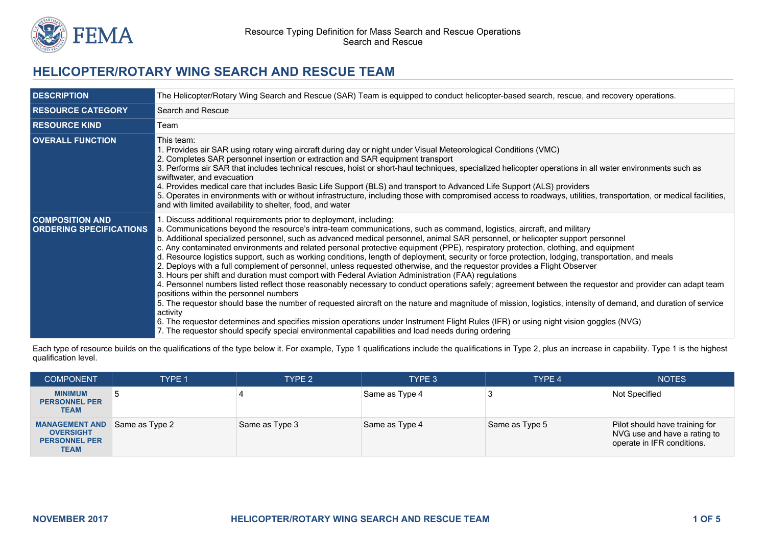

# **HELICOPTER/ROTARY WING SEARCH AND RESCUE TEAM**

| <b>DESCRIPTION</b>                                       | The Helicopter/Rotary Wing Search and Rescue (SAR) Team is equipped to conduct helicopter-based search, rescue, and recovery operations.                                                                                                                                                                                                                                                                                                                                                                                                                                                                                                                                                                                                                                                                                                                                                                                                                                                                                                                                                                                                                                                                                                                                                                                                                                                                                                                                                   |
|----------------------------------------------------------|--------------------------------------------------------------------------------------------------------------------------------------------------------------------------------------------------------------------------------------------------------------------------------------------------------------------------------------------------------------------------------------------------------------------------------------------------------------------------------------------------------------------------------------------------------------------------------------------------------------------------------------------------------------------------------------------------------------------------------------------------------------------------------------------------------------------------------------------------------------------------------------------------------------------------------------------------------------------------------------------------------------------------------------------------------------------------------------------------------------------------------------------------------------------------------------------------------------------------------------------------------------------------------------------------------------------------------------------------------------------------------------------------------------------------------------------------------------------------------------------|
| <b>RESOURCE CATEGORY</b>                                 | Search and Rescue                                                                                                                                                                                                                                                                                                                                                                                                                                                                                                                                                                                                                                                                                                                                                                                                                                                                                                                                                                                                                                                                                                                                                                                                                                                                                                                                                                                                                                                                          |
| <b>RESOURCE KIND</b>                                     | Team                                                                                                                                                                                                                                                                                                                                                                                                                                                                                                                                                                                                                                                                                                                                                                                                                                                                                                                                                                                                                                                                                                                                                                                                                                                                                                                                                                                                                                                                                       |
| <b>OVERALL FUNCTION</b>                                  | This team:<br>1. Provides air SAR using rotary wing aircraft during day or night under Visual Meteorological Conditions (VMC)<br>2. Completes SAR personnel insertion or extraction and SAR equipment transport<br>3. Performs air SAR that includes technical rescues, hoist or short-haul techniques, specialized helicopter operations in all water environments such as<br>swiftwater, and evacuation<br>4. Provides medical care that includes Basic Life Support (BLS) and transport to Advanced Life Support (ALS) providers<br>5. Operates in environments with or without infrastructure, including those with compromised access to roadways, utilities, transportation, or medical facilities,<br>and with limited availability to shelter, food, and water                                                                                                                                                                                                                                                                                                                                                                                                                                                                                                                                                                                                                                                                                                                     |
| <b>COMPOSITION AND</b><br><b>ORDERING SPECIFICATIONS</b> | 1. Discuss additional requirements prior to deployment, including:<br>a. Communications beyond the resource's intra-team communications, such as command, logistics, aircraft, and military<br>b. Additional specialized personnel, such as advanced medical personnel, animal SAR personnel, or helicopter support personnel<br>c. Any contaminated environments and related personal protective equipment (PPE), respiratory protection, clothing, and equipment<br>d. Resource logistics support, such as working conditions, length of deployment, security or force protection, lodging, transportation, and meals<br>2. Deploys with a full complement of personnel, unless requested otherwise, and the requestor provides a Flight Observer<br>3. Hours per shift and duration must comport with Federal Aviation Administration (FAA) regulations<br>4. Personnel numbers listed reflect those reasonably necessary to conduct operations safely; agreement between the requestor and provider can adapt team<br>positions within the personnel numbers<br>5. The requestor should base the number of requested aircraft on the nature and magnitude of mission, logistics, intensity of demand, and duration of service<br>activity<br>6. The requestor determines and specifies mission operations under Instrument Flight Rules (IFR) or using night vision goggles (NVG)<br>7. The requestor should specify special environmental capabilities and load needs during ordering |

Each type of resource builds on the qualifications of the type below it. For example, Type 1 qualifications include the qualifications in Type 2, plus an increase in capability. Type 1 is the highest qualification level.

| <b>COMPONENT</b>                                                                 | <b>TYPE 1</b>  | TYPE 2         | TYPE 3         | TYPE 4         | <b>NOTES</b>                                                                                 |
|----------------------------------------------------------------------------------|----------------|----------------|----------------|----------------|----------------------------------------------------------------------------------------------|
| <b>MINIMUM</b><br><b>PERSONNEL PER</b><br><b>TEAM</b>                            |                |                | Same as Type 4 |                | Not Specified                                                                                |
| <b>MANAGEMENT AND</b><br><b>OVERSIGHT</b><br><b>PERSONNEL PER</b><br><b>TEAM</b> | Same as Type 2 | Same as Type 3 | Same as Type 4 | Same as Type 5 | Pilot should have training for<br>NVG use and have a rating to<br>operate in IFR conditions. |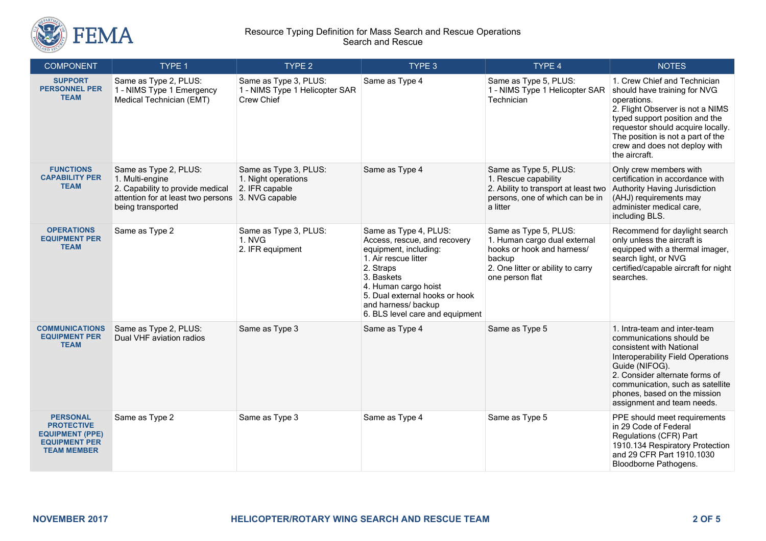

### Resource Typing Definition for Mass Search and Rescue Operations Search and Rescue

| <b>COMPONENT</b>                                                                                             | TYPE 1                                                                                                                                  | TYPE <sub>2</sub>                                                                | TYPE 3                                                                                                                                                                                                                                                | TYPE 4                                                                                                                                                | <b>NOTES</b>                                                                                                                                                                                                                                                                    |
|--------------------------------------------------------------------------------------------------------------|-----------------------------------------------------------------------------------------------------------------------------------------|----------------------------------------------------------------------------------|-------------------------------------------------------------------------------------------------------------------------------------------------------------------------------------------------------------------------------------------------------|-------------------------------------------------------------------------------------------------------------------------------------------------------|---------------------------------------------------------------------------------------------------------------------------------------------------------------------------------------------------------------------------------------------------------------------------------|
| <b>SUPPORT</b><br><b>PERSONNEL PER</b><br><b>TEAM</b>                                                        | Same as Type 2, PLUS:<br>1 - NIMS Type 1 Emergency<br>Medical Technician (EMT)                                                          | Same as Type 3, PLUS:<br>1 - NIMS Type 1 Helicopter SAR<br>Crew Chief            | Same as Type 4                                                                                                                                                                                                                                        | Same as Type 5, PLUS:<br>1 - NIMS Type 1 Helicopter SAR<br>Technician                                                                                 | 1. Crew Chief and Technician<br>should have training for NVG<br>operations.<br>2. Flight Observer is not a NIMS<br>typed support position and the<br>requestor should acquire locally.<br>The position is not a part of the<br>crew and does not deploy with<br>the aircraft.   |
| <b>FUNCTIONS</b><br><b>CAPABILITY PER</b><br><b>TEAM</b>                                                     | Same as Type 2, PLUS:<br>1. Multi-engine<br>2. Capability to provide medical<br>attention for at least two persons<br>being transported | Same as Type 3, PLUS:<br>1. Night operations<br>2. IFR capable<br>3. NVG capable | Same as Type 4                                                                                                                                                                                                                                        | Same as Type 5, PLUS:<br>1. Rescue capability<br>2. Ability to transport at least two<br>persons, one of which can be in<br>a litter                  | Only crew members with<br>certification in accordance with<br>Authority Having Jurisdiction<br>(AHJ) requirements may<br>administer medical care,<br>including BLS.                                                                                                             |
| <b>OPERATIONS</b><br><b>EQUIPMENT PER</b><br><b>TEAM</b>                                                     | Same as Type 2                                                                                                                          | Same as Type 3, PLUS:<br>1. NVG<br>2. IFR equipment                              | Same as Type 4, PLUS:<br>Access, rescue, and recovery<br>equipment, including:<br>1. Air rescue litter<br>2. Straps<br>3. Baskets<br>4. Human cargo hoist<br>5. Dual external hooks or hook<br>and harness/ backup<br>6. BLS level care and equipment | Same as Type 5, PLUS:<br>1. Human cargo dual external<br>hooks or hook and harness/<br>backup<br>2. One litter or ability to carry<br>one person flat | Recommend for daylight search<br>only unless the aircraft is<br>equipped with a thermal imager,<br>search light, or NVG<br>certified/capable aircraft for night<br>searches.                                                                                                    |
| <b>COMMUNICATIONS</b><br><b>EQUIPMENT PER</b><br><b>TEAM</b>                                                 | Same as Type 2, PLUS:<br>Dual VHF aviation radios                                                                                       | Same as Type 3                                                                   | Same as Type 4                                                                                                                                                                                                                                        | Same as Type 5                                                                                                                                        | 1. Intra-team and inter-team<br>communications should be<br>consistent with National<br>Interoperability Field Operations<br>Guide (NIFOG).<br>2. Consider alternate forms of<br>communication, such as satellite<br>phones, based on the mission<br>assignment and team needs. |
| <b>PERSONAL</b><br><b>PROTECTIVE</b><br><b>EQUIPMENT (PPE)</b><br><b>EQUIPMENT PER</b><br><b>TEAM MEMBER</b> | Same as Type 2                                                                                                                          | Same as Type 3                                                                   | Same as Type 4                                                                                                                                                                                                                                        | Same as Type 5                                                                                                                                        | PPE should meet requirements<br>in 29 Code of Federal<br>Regulations (CFR) Part<br>1910.134 Respiratory Protection<br>and 29 CFR Part 1910.1030<br>Bloodborne Pathogens.                                                                                                        |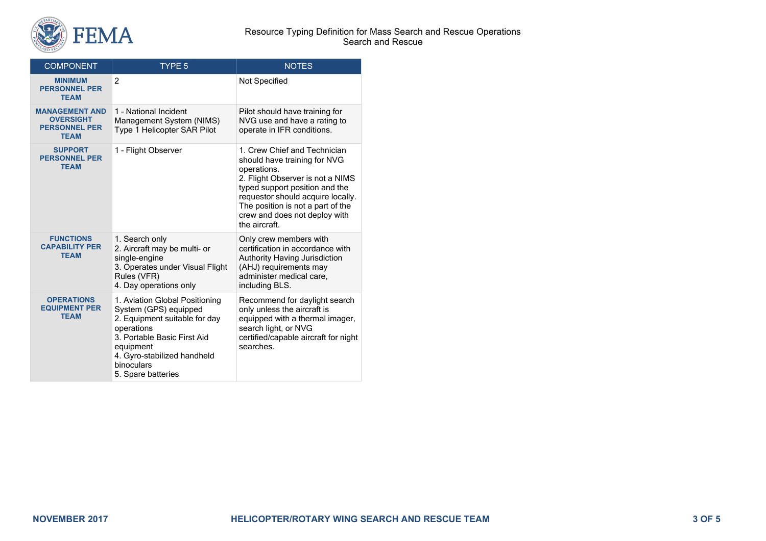

#### Resource Typing Definition for Mass Search and Rescue Operations Search and Rescue

| <b>COMPONENT</b>                                                                 | <b>TYPE 5</b>                                                                                                                                                                                                         | <b>NOTES</b>                                                                                                                                                                                                                                                                  |
|----------------------------------------------------------------------------------|-----------------------------------------------------------------------------------------------------------------------------------------------------------------------------------------------------------------------|-------------------------------------------------------------------------------------------------------------------------------------------------------------------------------------------------------------------------------------------------------------------------------|
| <b>MINIMUM</b><br><b>PERSONNEL PER</b><br><b>TEAM</b>                            | $\overline{2}$                                                                                                                                                                                                        | Not Specified                                                                                                                                                                                                                                                                 |
| <b>MANAGEMENT AND</b><br><b>OVERSIGHT</b><br><b>PERSONNEL PER</b><br><b>TEAM</b> | 1 - National Incident<br>Management System (NIMS)<br>Type 1 Helicopter SAR Pilot                                                                                                                                      | Pilot should have training for<br>NVG use and have a rating to<br>operate in IFR conditions.                                                                                                                                                                                  |
| <b>SUPPORT</b><br><b>PERSONNEL PER</b><br><b>TEAM</b>                            | 1 - Flight Observer                                                                                                                                                                                                   | 1. Crew Chief and Technician<br>should have training for NVG<br>operations.<br>2. Flight Observer is not a NIMS<br>typed support position and the<br>requestor should acquire locally.<br>The position is not a part of the<br>crew and does not deploy with<br>the aircraft. |
| <b>FUNCTIONS</b><br><b>CAPABILITY PER</b><br><b>TEAM</b>                         | 1. Search only<br>2. Aircraft may be multi- or<br>single-engine<br>3. Operates under Visual Flight<br>Rules (VFR)<br>4. Day operations only                                                                           | Only crew members with<br>certification in accordance with<br>Authority Having Jurisdiction<br>(AHJ) requirements may<br>administer medical care,<br>including BLS.                                                                                                           |
| <b>OPERATIONS</b><br><b>EQUIPMENT PER</b><br><b>TEAM</b>                         | 1. Aviation Global Positioning<br>System (GPS) equipped<br>2. Equipment suitable for day<br>operations<br>3. Portable Basic First Aid<br>equipment<br>4. Gyro-stabilized handheld<br>binoculars<br>5. Spare batteries | Recommend for daylight search<br>only unless the aircraft is<br>equipped with a thermal imager,<br>search light, or NVG<br>certified/capable aircraft for night<br>searches.                                                                                                  |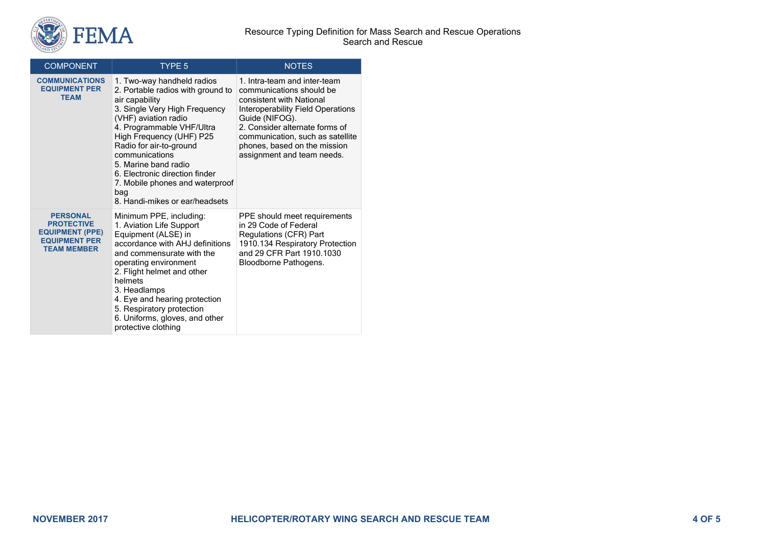

| <b>COMPONENT</b>                                                                                             | TYPE <sub>5</sub>                                                                                                                                                                                                                                                                                                                                                                      | <b>NOTES</b>                                                                                                                                                                                                                                                                    |
|--------------------------------------------------------------------------------------------------------------|----------------------------------------------------------------------------------------------------------------------------------------------------------------------------------------------------------------------------------------------------------------------------------------------------------------------------------------------------------------------------------------|---------------------------------------------------------------------------------------------------------------------------------------------------------------------------------------------------------------------------------------------------------------------------------|
| <b>COMMUNICATIONS</b><br><b>EQUIPMENT PER</b><br><b>TEAM</b>                                                 | 1. Two-way handheld radios<br>2. Portable radios with ground to<br>air capability<br>3. Single Very High Frequency<br>(VHF) aviation radio<br>4. Programmable VHF/Ultra<br>High Frequency (UHF) P25<br>Radio for air-to-ground<br>communications<br>5. Marine band radio<br>6. Electronic direction finder<br>7. Mobile phones and waterproof<br>bag<br>8. Handi-mikes or ear/headsets | 1. Intra-team and inter-team<br>communications should be<br>consistent with National<br>Interoperability Field Operations<br>Guide (NIFOG).<br>2. Consider alternate forms of<br>communication, such as satellite<br>phones, based on the mission<br>assignment and team needs. |
| <b>PERSONAL</b><br><b>PROTECTIVE</b><br><b>EQUIPMENT (PPE)</b><br><b>EQUIPMENT PER</b><br><b>TEAM MEMBER</b> | Minimum PPE, including:<br>1. Aviation Life Support<br>Equipment (ALSE) in<br>accordance with AHJ definitions<br>and commensurate with the<br>operating environment<br>2. Flight helmet and other<br>helmets<br>3. Headlamps<br>4. Eye and hearing protection<br>5. Respiratory protection<br>6. Uniforms, gloves, and other<br>protective clothing                                    | PPE should meet requirements<br>in 29 Code of Federal<br>Regulations (CFR) Part<br>1910.134 Respiratory Protection<br>and 29 CFR Part 1910.1030<br>Bloodborne Pathogens.                                                                                                        |